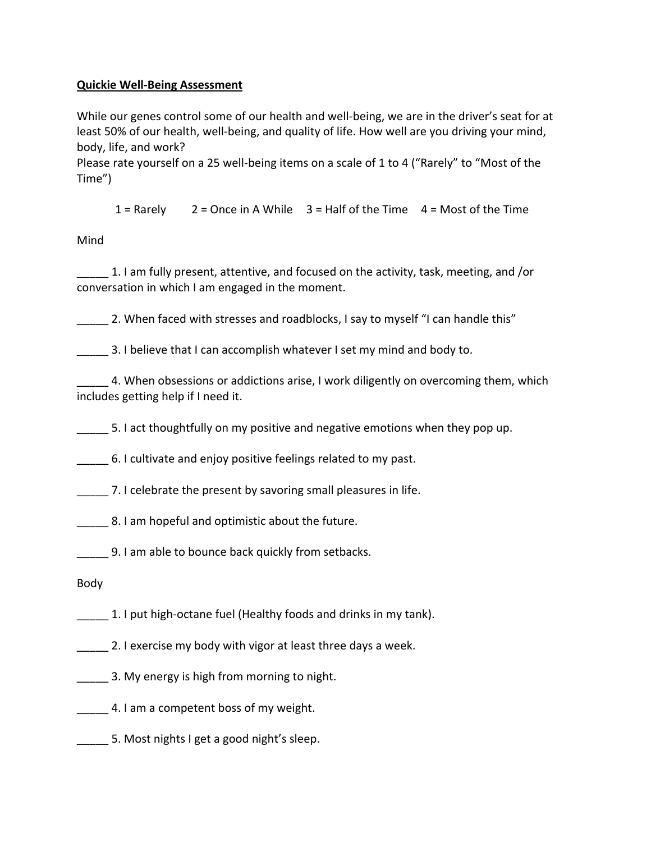## **Quickie Well-Being Assessment**

While our genes control some of our health and well-being, we are in the driver's seat for at least 50% of our health, well-being, and quality of life. How well are you driving your mind, body, life, and work?

Please rate yourself on a 25 well-being items on a scale of 1 to 4 ("Rarely" to "Most of the Time")

 $1 =$  Rarely 2 = Once in A While  $3 =$  Half of the Time 4 = Most of the Time

Mind

\_\_\_\_\_ 1. I am fully present, attentive, and focused on the activity, task, meeting, and /or conversation in which I am engaged in the moment.

2. When faced with stresses and roadblocks, I say to myself "I can handle this"

3. I believe that I can accomplish whatever I set my mind and body to.

4. When obsessions or addictions arise, I work diligently on overcoming them, which includes getting help if I need it.

\_\_\_\_\_ 5. I act thoughtfully on my positive and negative emotions when they pop up.

\_\_\_\_\_ 6. I cultivate and enjoy positive feelings related to my past.

**The 2. 1 Steemater 2. I** celebrate the present by savoring small pleasures in life.

8. I am hopeful and optimistic about the future.

**Sale 2. I am able to bounce back quickly from setbacks.** 

Body

1. I put high-octane fuel (Healthy foods and drinks in my tank).

- **2. I exercise my body with vigor at least three days a week.**
- 3. My energy is high from morning to night.
- 4. I am a competent boss of my weight.
- 5. Most nights I get a good night's sleep.